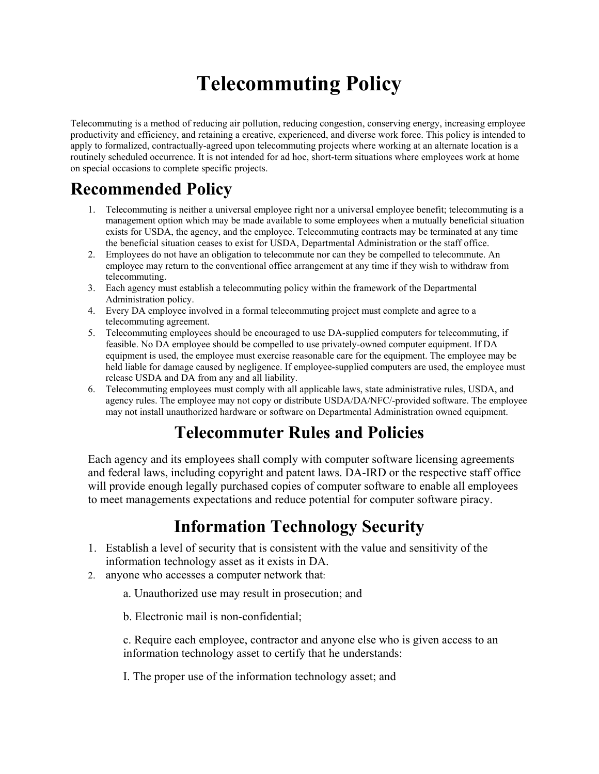# **Telecommuting Policy**

Telecommuting is a method of reducing air pollution, reducing congestion, conserving energy, increasing employee productivity and efficiency, and retaining a creative, experienced, and diverse work force. This policy is intended to apply to formalized, contractually-agreed upon telecommuting projects where working at an alternate location is a routinely scheduled occurrence. It is not intended for ad hoc, short-term situations where employees work at home on special occasions to complete specific projects.

## **Recommended Policy**

- 1. Telecommuting is neither a universal employee right nor a universal employee benefit; telecommuting is a management option which may be made available to some employees when a mutually beneficial situation exists for USDA, the agency, and the employee. Telecommuting contracts may be terminated at any time the beneficial situation ceases to exist for USDA, Departmental Administration or the staff office.
- 2. Employees do not have an obligation to telecommute nor can they be compelled to telecommute. An employee may return to the conventional office arrangement at any time if they wish to withdraw from telecommuting.
- 3. Each agency must establish a telecommuting policy within the framework of the Departmental Administration policy.
- 4. Every DA employee involved in a formal telecommuting project must complete and agree to a telecommuting agreement.
- 5. Telecommuting employees should be encouraged to use DA-supplied computers for telecommuting, if feasible. No DA employee should be compelled to use privately-owned computer equipment. If DA equipment is used, the employee must exercise reasonable care for the equipment. The employee may be held liable for damage caused by negligence. If employee-supplied computers are used, the employee must release USDA and DA from any and all liability.
- 6. Telecommuting employees must comply with all applicable laws, state administrative rules, USDA, and agency rules. The employee may not copy or distribute USDA/DA/NFC/-provided software. The employee may not install unauthorized hardware or software on Departmental Administration owned equipment.

### **Telecommuter Rules and Policies**

Each agency and its employees shall comply with computer software licensing agreements and federal laws, including copyright and patent laws. DA-IRD or the respective staff office will provide enough legally purchased copies of computer software to enable all employees to meet managements expectations and reduce potential for computer software piracy.

### **Information Technology Security**

- 1. Establish a level of security that is consistent with the value and sensitivity of the information technology asset as it exists in DA.
- 2. anyone who accesses a computer network that:
	- a. Unauthorized use may result in prosecution; and
	- b. Electronic mail is non-confidential;

c. Require each employee, contractor and anyone else who is given access to an information technology asset to certify that he understands:

I. The proper use of the information technology asset; and